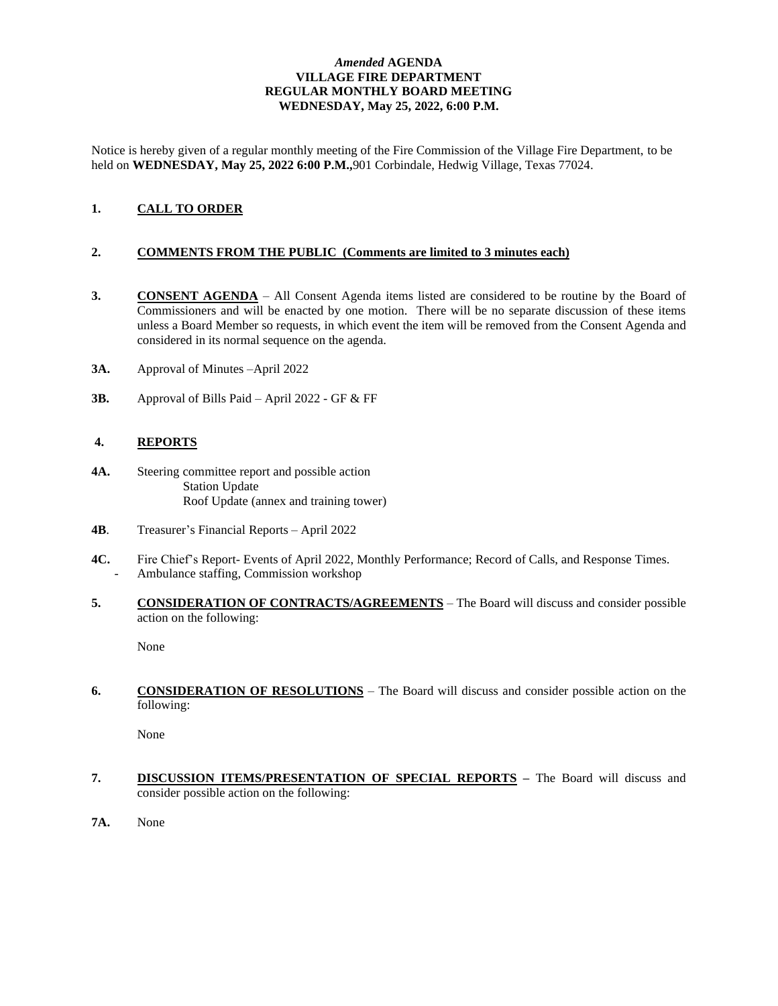## *Amended* **AGENDA VILLAGE FIRE DEPARTMENT REGULAR MONTHLY BOARD MEETING WEDNESDAY, May 25, 2022, 6:00 P.M.**

Notice is hereby given of a regular monthly meeting of the Fire Commission of the Village Fire Department, to be held on **WEDNESDAY, May 25, 2022 6:00 P.M.,**901 Corbindale, Hedwig Village, Texas 77024.

# **1. CALL TO ORDER**

### **2. COMMENTS FROM THE PUBLIC (Comments are limited to 3 minutes each)**

- **3. CONSENT AGENDA** All Consent Agenda items listed are considered to be routine by the Board of Commissioners and will be enacted by one motion. There will be no separate discussion of these items unless a Board Member so requests, in which event the item will be removed from the Consent Agenda and considered in its normal sequence on the agenda.
- **3A.** Approval of Minutes –April 2022
- **3B.** Approval of Bills Paid April 2022 GF & FF

### **4. REPORTS**

- **4A.** Steering committee report and possible action Station Update Roof Update (annex and training tower)
- **4B**. Treasurer's Financial Reports April 2022
- **4C.** Fire Chief's Report- Events of April 2022, Monthly Performance; Record of Calls, and Response Times. - Ambulance staffing, Commission workshop
- **5. CONSIDERATION OF CONTRACTS/AGREEMENTS** The Board will discuss and consider possible action on the following:

None

**6. CONSIDERATION OF RESOLUTIONS** – The Board will discuss and consider possible action on the following:

None

- **7. DISCUSSION ITEMS/PRESENTATION OF SPECIAL REPORTS –** The Board will discuss and consider possible action on the following:
- **7A.** None